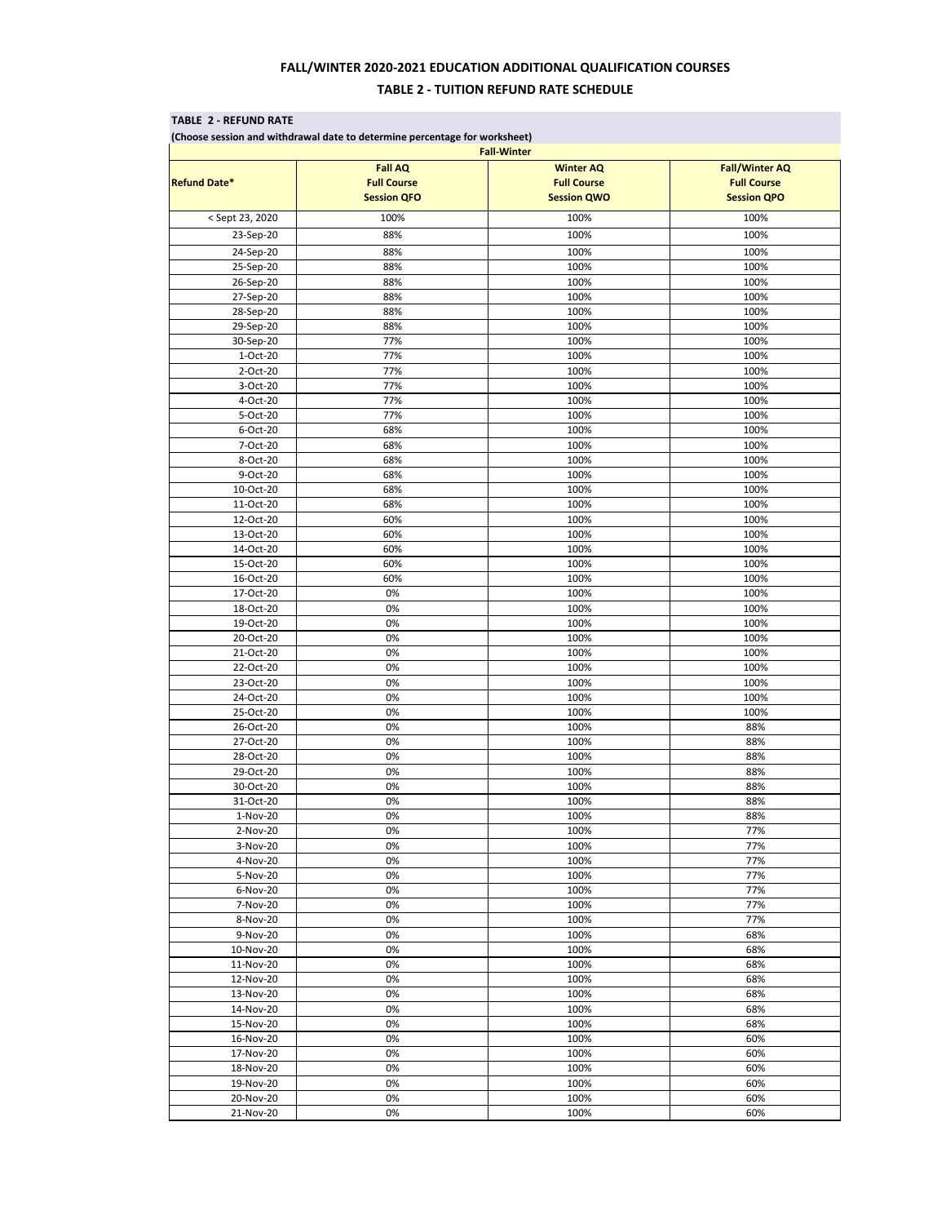### **TABLE 2 - REFUND RATE**

**(Choose session and withdrawal date to determine percentage for worksheet)**

| <b>Fall-Winter</b>     |                                                            |                                                              |                                             |  |  |  |
|------------------------|------------------------------------------------------------|--------------------------------------------------------------|---------------------------------------------|--|--|--|
| <b>Refund Date*</b>    | <b>Fall AQ</b><br><b>Full Course</b><br><b>Session QFO</b> | <b>Winter AQ</b><br><b>Full Course</b><br><b>Session QWO</b> | <b>Fall/Winter AQ</b><br><b>Full Course</b> |  |  |  |
|                        |                                                            |                                                              | <b>Session QPO</b>                          |  |  |  |
| < Sept 23, 2020        | 100%                                                       | 100%                                                         | 100%                                        |  |  |  |
| 23-Sep-20              | 88%                                                        | 100%                                                         | 100%                                        |  |  |  |
| 24-Sep-20              | 88%                                                        | 100%                                                         | 100%                                        |  |  |  |
| 25-Sep-20              | 88%                                                        | 100%                                                         | 100%                                        |  |  |  |
| 26-Sep-20              | 88%                                                        | 100%                                                         | 100%                                        |  |  |  |
| 27-Sep-20              | 88%                                                        | 100%                                                         | 100%                                        |  |  |  |
| 28-Sep-20              | 88%                                                        | 100%                                                         | 100%                                        |  |  |  |
| 29-Sep-20              | 88%                                                        | 100%                                                         | 100%                                        |  |  |  |
| 30-Sep-20<br>1-Oct-20  | 77%<br>77%                                                 | 100%<br>100%                                                 | 100%<br>100%                                |  |  |  |
| 2-Oct-20               | 77%                                                        | 100%                                                         | 100%                                        |  |  |  |
| 3-Oct-20               | 77%                                                        | 100%                                                         | 100%                                        |  |  |  |
| 4-Oct-20               | 77%                                                        | 100%                                                         | 100%                                        |  |  |  |
| 5-Oct-20               | 77%                                                        | 100%                                                         | 100%                                        |  |  |  |
| 6-Oct-20               | 68%                                                        | 100%                                                         | 100%                                        |  |  |  |
| 7-Oct-20               | 68%                                                        | 100%                                                         | 100%                                        |  |  |  |
| 8-Oct-20               | 68%                                                        | 100%                                                         | 100%                                        |  |  |  |
| 9-Oct-20               | 68%                                                        | 100%                                                         | 100%                                        |  |  |  |
| 10-Oct-20              | 68%                                                        | 100%                                                         | 100%                                        |  |  |  |
| 11-Oct-20              | 68%                                                        | 100%                                                         | 100%                                        |  |  |  |
| 12-Oct-20              | 60%                                                        | 100%                                                         | 100%                                        |  |  |  |
| 13-Oct-20              | 60%                                                        | 100%                                                         | 100%                                        |  |  |  |
| 14-Oct-20              | 60%                                                        | 100%                                                         | 100%                                        |  |  |  |
| 15-Oct-20<br>16-Oct-20 | 60%<br>60%                                                 | 100%<br>100%                                                 | 100%<br>100%                                |  |  |  |
| 17-Oct-20              | $0\%$                                                      | 100%                                                         | 100%                                        |  |  |  |
| 18-Oct-20              | 0%                                                         | 100%                                                         | 100%                                        |  |  |  |
| 19-Oct-20              | 0%                                                         | 100%                                                         | 100%                                        |  |  |  |
| 20-Oct-20              | 0%                                                         | 100%                                                         | 100%                                        |  |  |  |
| 21-Oct-20              | 0%                                                         | 100%                                                         | 100%                                        |  |  |  |
| 22-Oct-20              | 0%                                                         | 100%                                                         | 100%                                        |  |  |  |
| 23-Oct-20              | 0%                                                         | 100%                                                         | 100%                                        |  |  |  |
| 24-Oct-20              | 0%                                                         | 100%                                                         | 100%                                        |  |  |  |
| 25-Oct-20              | 0%                                                         | 100%                                                         | 100%                                        |  |  |  |
| 26-Oct-20              | 0%                                                         | 100%                                                         | 88%                                         |  |  |  |
| 27-Oct-20              | 0%                                                         | 100%                                                         | 88%<br>88%                                  |  |  |  |
| 28-Oct-20<br>29-Oct-20 | 0%<br>0%                                                   | 100%<br>100%                                                 | 88%                                         |  |  |  |
| 30-Oct-20              | 0%                                                         | 100%                                                         | 88%                                         |  |  |  |
| 31-Oct-20              | 0%                                                         | 100%                                                         | 88%                                         |  |  |  |
| 1-Nov-20               | 0%                                                         | 100%                                                         | 88%                                         |  |  |  |
| 2-Nov-20               | 0%                                                         | 100%                                                         | 77%                                         |  |  |  |
| 3-Nov-20               | 0%                                                         | 100%                                                         | 77%                                         |  |  |  |
| 4-Nov-20               | 0%                                                         | 100%                                                         | 77%                                         |  |  |  |
| 5-Nov-20               | 0%                                                         | 100%                                                         | 77%                                         |  |  |  |
| 6-Nov-20               | 0%                                                         | 100%                                                         | 77%                                         |  |  |  |
| 7-Nov-20               | 0%                                                         | 100%                                                         | 77%                                         |  |  |  |
| 8-Nov-20               | 0%                                                         | 100%                                                         | 77%                                         |  |  |  |
| 9-Nov-20               | 0%                                                         | 100%                                                         | 68%                                         |  |  |  |
| 10-Nov-20<br>11-Nov-20 | 0%<br>0%                                                   | 100%<br>100%                                                 | 68%<br>68%                                  |  |  |  |
| 12-Nov-20              | 0%                                                         | 100%                                                         | 68%                                         |  |  |  |
| 13-Nov-20              | 0%                                                         | 100%                                                         | 68%                                         |  |  |  |
| 14-Nov-20              | 0%                                                         | 100%                                                         | 68%                                         |  |  |  |
| 15-Nov-20              | 0%                                                         | 100%                                                         | 68%                                         |  |  |  |
| 16-Nov-20              | 0%                                                         | 100%                                                         | 60%                                         |  |  |  |
| 17-Nov-20              | 0%                                                         | 100%                                                         | 60%                                         |  |  |  |
| 18-Nov-20              | 0%                                                         | 100%                                                         | 60%                                         |  |  |  |
| 19-Nov-20              | 0%                                                         | 100%                                                         | 60%                                         |  |  |  |
| 20-Nov-20              | 0%                                                         | 100%                                                         | 60%                                         |  |  |  |
| 21-Nov-20              | 0%                                                         | 100%                                                         | 60%                                         |  |  |  |

# **FALL/WINTER 2020-2021 EDUCATION ADDITIONAL QUALIFICATION COURSES**

## **TABLE 2 - TUITION REFUND RATE SCHEDULE**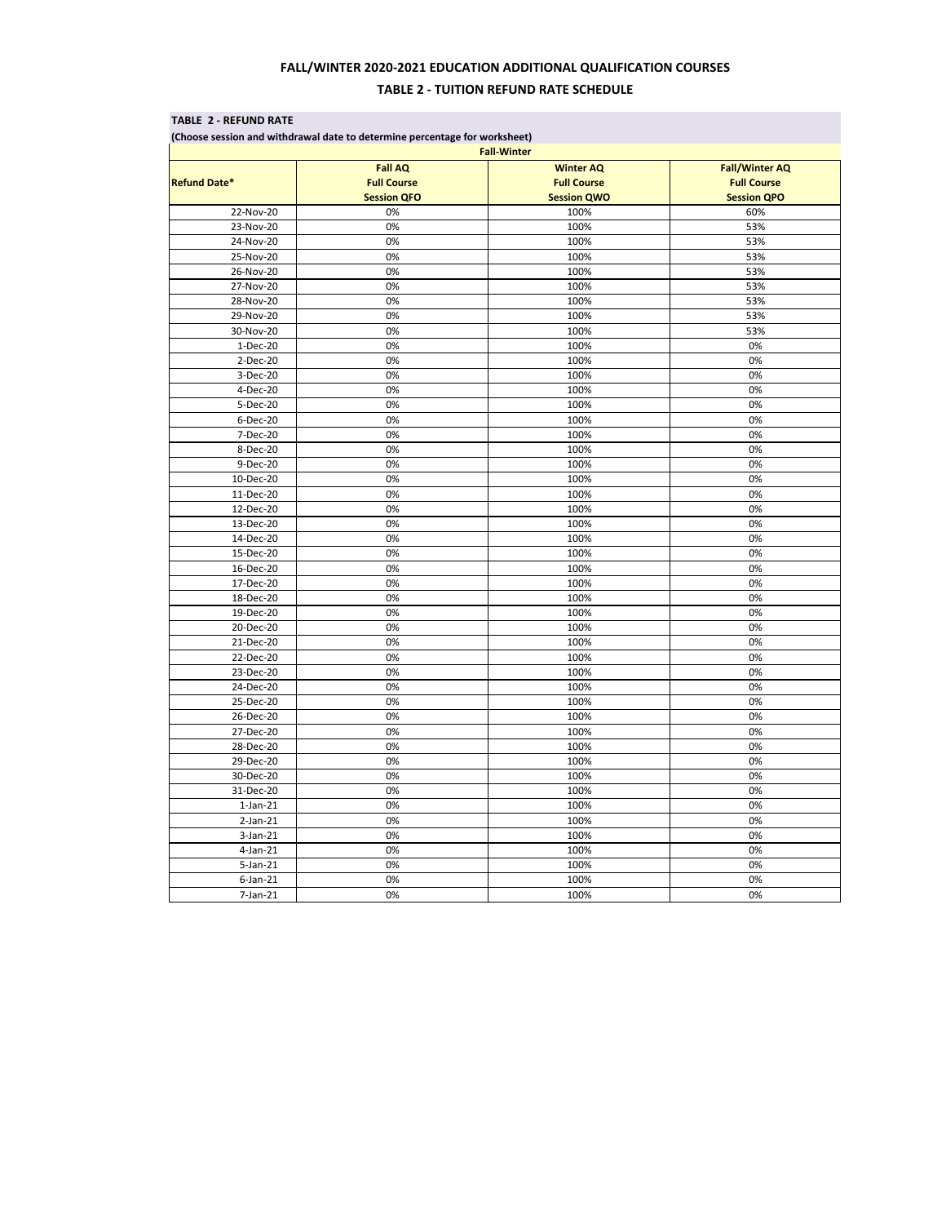### **TABLE 2 - REFUND RATE**

**(Choose session and withdrawal date to determine percentage for worksheet)**

# **FALL/WINTER 2020-2021 EDUCATION ADDITIONAL QUALIFICATION COURSES**

## **TABLE 2 - TUITION REFUND RATE SCHEDULE**

| <b>Fall-Winter</b>  |                    |                    |                       |  |  |  |
|---------------------|--------------------|--------------------|-----------------------|--|--|--|
|                     | <b>Fall AQ</b>     | <b>Winter AQ</b>   | <b>Fall/Winter AQ</b> |  |  |  |
| <b>Refund Date*</b> | <b>Full Course</b> | <b>Full Course</b> | <b>Full Course</b>    |  |  |  |
|                     | <b>Session QFO</b> | <b>Session QWO</b> | <b>Session QPO</b>    |  |  |  |
| 22-Nov-20           | 0%                 | 100%               | 60%                   |  |  |  |
| 23-Nov-20           | 0%                 | 100%               | 53%                   |  |  |  |
| 24-Nov-20           | 0%                 | 100%               | 53%                   |  |  |  |
| 25-Nov-20           | 0%                 | 100%               | 53%                   |  |  |  |
| 26-Nov-20           | 0%                 | 100%               | 53%                   |  |  |  |
| 27-Nov-20           | 0%                 | 100%               | 53%                   |  |  |  |
| 28-Nov-20           | 0%                 | 100%               | 53%                   |  |  |  |
| 29-Nov-20           | 0%                 | 100%               | 53%                   |  |  |  |
| 30-Nov-20           | 0%                 | 100%               | 53%                   |  |  |  |
| 1-Dec-20            | 0%                 | 100%               | 0%                    |  |  |  |
| 2-Dec-20            | 0%                 | 100%               | 0%                    |  |  |  |
| 3-Dec-20            | 0%                 | 100%               | 0%                    |  |  |  |
| 4-Dec-20            | 0%                 | 100%               | 0%                    |  |  |  |
| 5-Dec-20            | 0%                 | 100%               | 0%                    |  |  |  |
| 6-Dec-20            | 0%                 | 100%               | 0%                    |  |  |  |
| 7-Dec-20            | 0%                 | 100%               | 0%                    |  |  |  |
| 8-Dec-20            | 0%                 | 100%               | 0%                    |  |  |  |
| 9-Dec-20            | 0%                 | 100%               | 0%                    |  |  |  |
| 10-Dec-20           | 0%                 | 100%               | 0%                    |  |  |  |
| 11-Dec-20           | 0%                 | 100%               | 0%                    |  |  |  |
| 12-Dec-20           | 0%                 | 100%               | 0%                    |  |  |  |
| 13-Dec-20           | 0%                 | 100%               | 0%                    |  |  |  |
| 14-Dec-20           | 0%                 | 100%               | 0%                    |  |  |  |
| 15-Dec-20           | 0%                 | 100%               | 0%                    |  |  |  |
| 16-Dec-20           | 0%                 | 100%               | 0%                    |  |  |  |
| 17-Dec-20           | 0%                 | 100%               | 0%                    |  |  |  |
| 18-Dec-20           | 0%                 | 100%               | 0%                    |  |  |  |
| 19-Dec-20           | 0%                 | 100%               | 0%                    |  |  |  |
| 20-Dec-20           | 0%                 | 100%               | 0%                    |  |  |  |
| 21-Dec-20           | 0%                 | 100%               | 0%                    |  |  |  |
| 22-Dec-20           | 0%                 | 100%               | 0%                    |  |  |  |
| 23-Dec-20           | 0%                 | 100%               | 0%                    |  |  |  |
| 24-Dec-20           | 0%                 | 100%               | 0%                    |  |  |  |
| 25-Dec-20           | 0%                 | 100%               | 0%                    |  |  |  |
| 26-Dec-20           | 0%                 | 100%               | 0%                    |  |  |  |
| 27-Dec-20           | 0%                 | 100%               | 0%                    |  |  |  |
| 28-Dec-20           | 0%                 | 100%               | 0%                    |  |  |  |
| 29-Dec-20           | 0%                 | 100%               | 0%                    |  |  |  |
| 30-Dec-20           | 0%                 | 100%               | 0%                    |  |  |  |
| 31-Dec-20           | 0%                 | 100%               | 0%                    |  |  |  |
| $1$ -Jan- $21$      | 0%                 | 100%               | 0%                    |  |  |  |
| $2-Jan-21$          | 0%                 | 100%               | 0%                    |  |  |  |
| $3-Jan-21$          | 0%                 | 100%               | 0%                    |  |  |  |
| $4$ -Jan-21         | 0%                 | 100%               | 0%                    |  |  |  |
| $5$ -Jan-21         | 0%                 | 100%               | 0%                    |  |  |  |
| $6$ -Jan $-21$      | 0%                 | 100%               | 0%                    |  |  |  |
| $7$ -Jan- $21$      | 0%                 | 100%               | 0%                    |  |  |  |